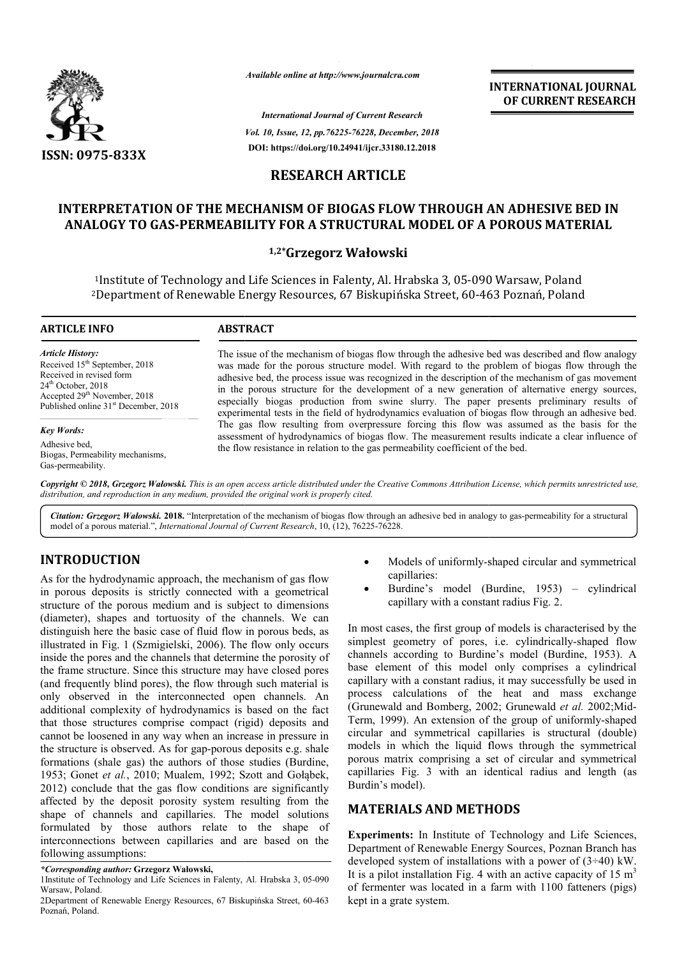

*Available online at http://www.journalcra.com*

*International Journal of Current Research Vol. 10, Issue, 12, pp.76225-76228, December, 2018* **DOI: https://doi.org/10.24941/ijcr.33180.12.2018**

**INTERNATIONAL JOURNAL OF CURRENT RESEARCH**

# **RESEARCH ARTICLE**

# **INTERPRETATION OF THE MECHANISM OF BIOGAS FLOW THROUGH AN ADHESIVE BED IN OF BIOGAS FLOW** ANALOGY TO GAS-PERMEABILITY FOR A STRUCTURAL MODEL OF A POROUS MATERIAL<br><sup>1,2\*</sup>Grzegorz Wałowski

<sup>1</sup>Institute of Technology and Life Sciences in Falenty, Al. Hrabska 3, 05-090 Warsaw, Poland 2Department of Renewable Energy Resources, 67 Biskupińska Street, 60 Department 60-463 Poznań, Poland 463 Poznań,

#### **ARTICLE INFO ABSTRACT**

*Article History:* Received 15<sup>th</sup> September, 2018 Received in revised form 24th October, 2018 Accepted 29<sup>th</sup> November, 2018 Published online 31<sup>st</sup> December, 2018

*Key Words:*

Adhesive bed, Biogas, Permeability mechanisms, Gas-permeability.

The issue of the mechanism of biogas flow through the adhesive bed was described and flow analogy was made for the porous structure model. With regard to the problem of biogas flow through the adhesive bed, the process issue was recognized in the description of the mechanism of gas movement in the porous structure for the development of a new generation of alternative energy sources, especially biogas production from swine slurry. The paper presents preliminary results of experimental tests in the field of hydrodynamics evaluation of biogas flow through an adhesive bed. The gas flow resulting from overpressure forcing this flow was assumed as the basis for the assessment of hydrodynamics of biogas flow. The measurement results indicate a clear influence of the flow resistance in relation to the gas permeability coefficient of the bed. The issue of the mechanism of biogas flow through the adhesive bed was described and flow analogy was made for the porous structure model. With regard to the problem of biogas flow through the adhesive bed, the process iss in the porous structure for the development of a new generation of alternative especially biogas production from swine slurry. The paper presents prelim experimental tests in the field of hydrodynamics evaluation of biogas

Copyright © 2018, Grzegorz Wałowski. This is an open access article distributed under the Creative Commons Attribution License, which permits unrestricted use, *distribution, and reproduction in any medium, provided the original work is properly cited.*

Citation: Grzegorz Walowski. 2018. "Interpretation of the mechanism of biogas flow through an adhesive bed in analogy to gas-permeability for a structural model of a porous material.", *International Journal of Current Research*, 10, (12), 76225-76228.

# **INTRODUCTION**

As for the hydrodynamic approach, the mechanism of gas flow in porous deposits is strictly connected with a geometrical structure of the porous medium and is subject to dimensions (diameter), shapes and tortuosity of the channels. We can distinguish here the basic case of fluid flow in porous beds, as illustrated in Fig. 1 (Szmigielski, 2006). The flow only occurs inside the pores and the channels that determine the porosity of the frame structure. Since this structure may have closed pores (and frequently blind pores), the flow through such material is only observed in the interconnected open channels. An additional complexity of hydrodynamics is based on the fact that those structures comprise compact (rigid) deposits and cannot be loosened in any way when an increase in pressure in the structure is observed. As for gap-porous deposits e.g. formations (shale gas) the authors of those studies ( (Burdine, 1953; Gonet *et al.*, 2010; Mualem, 1992; Szott and Gołąbek, 2012) conclude that the gas flow condition s are significantly affected by the deposit porosity system resulting from the shape of channels and capillaries. The model solutions formulated by those authors relate to the shape of interconnections between capillaries and are based on the following assumptions: he basic case of fluid flow in porous beds, as<br>1 (Szmigielski, 2006). The flow only occurs<br>nd the channels that determine the porosity of<br>re. Since this structure may have closed pores<br>lind pores), the flow through such ma

### *\*Corresponding author:* **Grzegorz Wałowski,**

- Models of uniformly-shaped circular and symmetrical capillaries: • Models of uniformly-shaped circular and symmetrical capillaries:<br>• Burdine's model (Burdine, 1953) – cylindrical
- capillary with a constant radius Fig. 2. capillary

In most cases, the first group of models is characterised by the In most cases, the first group of models is characterised by the simplest geometry of pores, i.e. cylindrically-shaped flow channels according to Burdine's model (Burdine, 1953). A base element of this model only comprises a cylindrical capillary with a constant radius, it may successfully be used in process calculations of the heat and mass exchange base element of this model only comprises a cylindrical capillary with a constant radius, it may successfully be used in process calculations of the heat and mass exchange (Grunewald and Bomberg, 2002; Grunewald *et al.* 2 Term, 1999). An extension of the group of uniformly-shaped circular and symmetrical capillaries is structural (double) models in which the liquid flows through the symmetrical porous matrix comprising a set of circular and symmetrical circular and symmetrical capillaries is structural (double) models in which the liquid flows through the symmetrical porous matrix comprising a set of circular and symmetrical capillaries Fig. 3 with an identical radius an Burdin's model). INTERNATIONAL JOURNAL<br>
OF CURRENT RESEARCH<br>
OF CURRENT RESEARCH<br>
POROUS MATERIAL<br>
POROUS MATERIAL<br>
DUMATERIAL<br>
DUMATERIAL<br>
DUMATERIAL<br>
DUMATERIAL<br>
DUMATERIAL<br>
SUMATERIAL<br>
Cof the mechanism of gas movement theorem<br>
or of al

# **MATERIALS AND METHODS METHODS**

**Experiments:** In Institute of Technology and Life Sciences, Department of Renewable Energy Sources, Poznan Branch has developed system of installations with a power of (3÷40) kW. **Experiments:** In Institute of Technology and Life Sciences, Department of Renewable Energy Sources, Poznan Branch has developed system of installations with a power of  $(3\div 40)$  kW. It is a pilot installation Fig. 4 wit of fermenter was located in a farm with 1100 fatteners (pigs) kept in a grate system.

<sup>1</sup>Institute of Technology and Life Sciences in Falenty, Al. Hrabska 3, 05 05-090 Warsaw, Poland.

<sup>2</sup>Department of Renewable Energy Resources, 67 Biskupińska Street, 60 60-463 Poznań, Poland.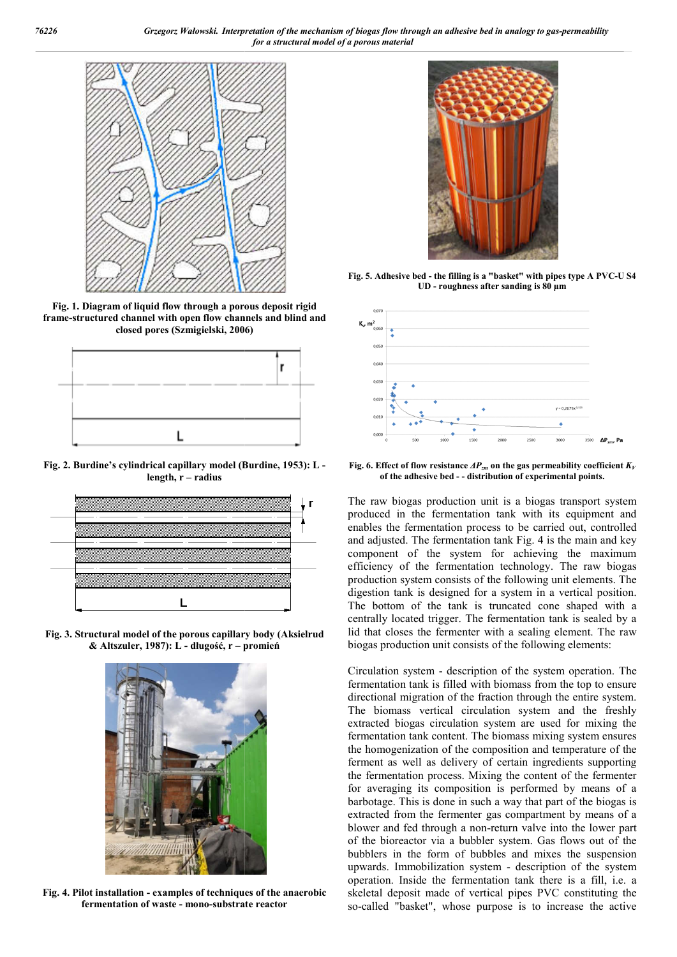

**Fig. 1. Diagram of liquid flow through a porous deposit rigid frame-structured channel with open flow channels and blind and structured Szmigielski, 2006) closed pores (Szmigielski, 2006**



**Fig. 2. Burdine's cylindrical capillary model (Burdine, 1953) Burdine, 1953): L length, r – radius**



**Fig. 3. Structural model of the porous capillary body ( (Aksielrud & Altszuler, 1987): L - długość, r – promień**



**Fig. 4. Pilot installation - examples of techniques of the anaerobic fermentation of waste - mono-substrate reactor**



**UD** - roughness after sanding is 80 μm Fig. 5. Adhesive bed - the filling is a "basket" with pipes type A PVC-U S4



**Fig. 6. Effect of flow resistance**  $\Delta P_{\text{zm}}$  **on the gas permeability coefficient**  $K_{\text{V}}$ **of the adhesive bed - - distribution of experimental points.**

The raw biogas production unit is a biogas transport system produced in the fermentation tank with its equipment and enables the fermentation process to be carried out, controlled and adjusted. The fermentation tank Fig. 4 is the main and key component of the system for achieving the maximum efficiency of the fermentation technology. The raw biogas production system consists of the following unit elements. The digestion tank is designed for a system in a vertical position. The bottom of the tank is truncated cone shaped with a centrally located trigger. The fermentation tank is sealed by a centrally located trigger. The fermentation tank is sealed by a lid that closes the fermenter with a sealing element. The raw biogas production unit consists of the following elements: biogas production unit is a biogas transport system<br>d in the fermentation tank with its equipment and<br>the fermentation process to be carried out, controlled<br>sted. The fermentation tank Fig. 4 is the main and key stem consists of the following unit elements. The<br>is designed for a system in a vertical position.<br>of the tank is truncated cone shaped with a

**Excelution of the filling in "basket"** with pipes type A PVC<br> **is a moreous dependent rigid and**<br> **Excelution of the biggest of the filling is a baset of the biggest of the filling is a base of the analytic state of**  $\theta$ **,** biogas production unit consists of the following elements:<br>Circulation system - description of the system operation. The fermentation tank is filled with biomass from the top to ensure directional migration of the fraction through the entire system. The biomass vertical circulation system and the freshly extracted biogas circulation system are used for mixing fermentation tank content. The biomass mixing system ensures the homogenization of the composition and temperature of the ferment as well as delivery of certain ingredients supporting the fermentation process. Mixing the content of the fermenter for averaging its composition is performed by means of a fermentation tank content. The biomass mixing system ensures<br>the homogenization of the composition and temperature of the<br>ferment as well as delivery of certain ingredients supporting<br>the fermentation process. Mixing the c extracted from the fermenter gas compartment by means of a blower and fed through a non-return valve into the lower part of the bioreactor via a bubbler system. Gas flows out of the bubblers in the form of bubbles and mixes the suspension of the bioreactor via a bubbler system. Gas flows out of the bubblers in the form of bubbles and mixes the suspension upwards. Immobilization system - description of the system operation. Inside the fermentation tank there is a fill, i.e. a operation. Inside the fermentation tank there is a fill, i.e. a skeletal deposit made of vertical pipes PVC constituting the so-called "basket", whose purpose is to increase the active of the fraction through the entire system.<br>al circulation system and the freshly<br>ulation system are used for mixing the called (Race The Called Called The Called The Called The Called The Called The Called The Called The Called The Called The Called The Called The Called The Called The Called The Called The Called The Called The Called The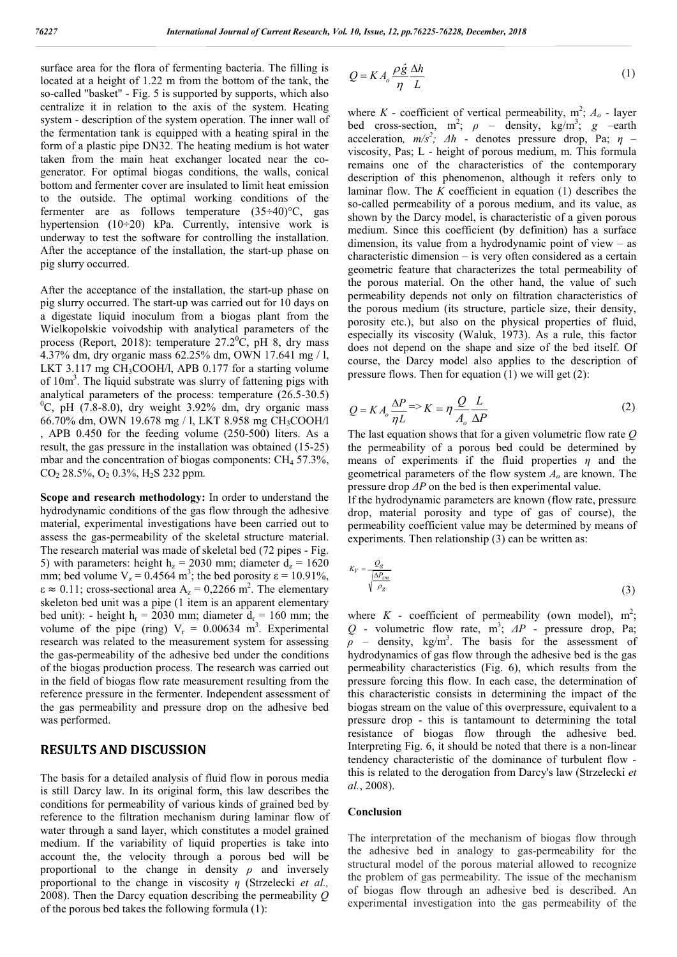surface area for the flora of fermenting bacteria. The filling is located at a height of 1.22 m from the bottom of the tank, the so-called "basket" - Fig. 5 is supported by supports, which also centralize it in relation to the axis of the system. Heating system - description of the system operation. The inner wall of the fermentation tank is equipped with a heating spiral in the form of a plastic pipe DN32. The heating medium is hot water taken from the main heat exchanger located near the cogenerator. For optimal biogas conditions, the walls, conical bottom and fermenter cover are insulated to limit heat emission to the outside. The optimal working conditions of the fermenter are as follows temperature (35÷40)°C, gas hypertension  $(10\div 20)$  kPa. Currently, intensive work is underway to test the software for controlling the installation. After the acceptance of the installation, the start-up phase on pig slurry occurred.

After the acceptance of the installation, the start-up phase on pig slurry occurred. The start-up was carried out for 10 days on a digestate liquid inoculum from a biogas plant from the Wielkopolskie voivodship with analytical parameters of the process (Report, 2018): temperature  $27.2^{\circ}$ C, pH 8, dry mass 4.37% dm, dry organic mass 62.25% dm, OWN 17.641 mg / l, LKT 3.117 mg CH<sub>3</sub>COOH/l, APB 0.177 for a starting volume of 10m<sup>3</sup>. The liquid substrate was slurry of fattening pigs with analytical parameters of the process: temperature (26.5-30.5)  $^{0}$ C, pH (7.8-8.0), dry weight 3.92% dm, dry organic mass 66.70% dm, OWN 19.678 mg / l, LKT 8.958 mg CH3COOH/l , APB 0.450 for the feeding volume (250-500) liters. As a result, the gas pressure in the installation was obtained (15-25) mbar and the concentration of biogas components:  $CH_4$  57.3%,  $CO<sub>2</sub> 28.5$ %, O<sub>2</sub> 0.3%, H<sub>2</sub>S 232 ppm.

**Scope and research methodology:** In order to understand the hydrodynamic conditions of the gas flow through the adhesive material, experimental investigations have been carried out to assess the gas-permeability of the skeletal structure material. The research material was made of skeletal bed (72 pipes - Fig. 5) with parameters: height  $h_z = 2030$  mm; diameter  $d_z = 1620$ mm; bed volume  $V_z = 0.4564 \text{ m}^3$ ; the bed porosity  $\epsilon = 10.91\%$ ,  $\epsilon \approx 0.11$ ; cross-sectional area A<sub>z</sub> = 0,2266 m<sup>2</sup>. The elementary skeleton bed unit was a pipe (1 item is an apparent elementary bed unit): - height  $h_r = 2030$  mm; diameter  $d_r = 160$  mm; the volume of the pipe (ring)  $V_r = 0.00634 \text{ m}^3$ . Experimental research was related to the measurement system for assessing the gas-permeability of the adhesive bed under the conditions of the biogas production process. The research was carried out in the field of biogas flow rate measurement resulting from the reference pressure in the fermenter. Independent assessment of the gas permeability and pressure drop on the adhesive bed was performed.

### **RESULTS AND DISCUSSION**

The basis for a detailed analysis of fluid flow in porous media is still Darcy law. In its original form, this law describes the conditions for permeability of various kinds of grained bed by reference to the filtration mechanism during laminar flow of water through a sand layer, which constitutes a model grained medium. If the variability of liquid properties is take into account the, the velocity through a porous bed will be proportional to the change in density *ρ* and inversely proportional to the change in viscosity *η* (Strzelecki *et al.,* 2008). Then the Darcy equation describing the permeability *Q* of the porous bed takes the following formula (1):

$$
Q = KA_o \frac{\rho \hat{g}}{\eta} \frac{\Delta h}{L}
$$
 (1)

where  $K$  - coefficient of vertical permeability,  $m^2$ ;  $A_o$  - layer bed cross-section,  $m^2$ ;  $\rho$  – density, kg/m<sup>3</sup>; g –earth acceleration,  $m/s^2$ ;  $\Delta h$  - denotes pressure drop, Pa;  $\eta$  viscosity, Pas; L - height of porous medium, m. This formula remains one of the characteristics of the contemporary description of this phenomenon, although it refers only to laminar flow. The *K* coefficient in equation (1) describes the so-called permeability of a porous medium, and its value, as shown by the Darcy model, is characteristic of a given porous medium. Since this coefficient (by definition) has a surface dimension, its value from a hydrodynamic point of view – as characteristic dimension – is very often considered as a certain geometric feature that characterizes the total permeability of the porous material. On the other hand, the value of such permeability depends not only on filtration characteristics of the porous medium (its structure, particle size, their density, porosity etc.), but also on the physical properties of fluid, especially its viscosity (Waluk, 1973). As a rule, this factor does not depend on the shape and size of the bed itself. Of course, the Darcy model also applies to the description of pressure flows. Then for equation (1) we will get (2):

$$
Q = KA_o \frac{\Delta P}{\eta L} \Rightarrow K = \eta \frac{Q}{A_o} \frac{L}{\Delta P}
$$
 (2)

The last equation shows that for a given volumetric flow rate *Q* the permeability of a porous bed could be determined by means of experiments if the fluid properties *η* and the geometrical parameters of the flow system *Ao* are known. The pressure drop *ΔP* on the bed is then experimental value.

If the hydrodynamic parameters are known (flow rate, pressure drop, material porosity and type of gas of course), the permeability coefficient value may be determined by means of experiments. Then relationship (3) can be written as:

$$
K_V = \frac{Q_g}{\sqrt{\frac{\Delta P_{zm}}{\rho_g}}} \tag{3}
$$

where  $K$  - coefficient of permeability (own model),  $m^2$ ;  $Q$  - volumetric flow rate,  $m^3$ ;  $\Delta P$  - pressure drop, Pa;  $\rho$  – density, kg/m<sup>3</sup>. The basis for the assessment of hydrodynamics of gas flow through the adhesive bed is the gas permeability characteristics (Fig. 6), which results from the pressure forcing this flow. In each case, the determination of this characteristic consists in determining the impact of the biogas stream on the value of this overpressure, equivalent to a pressure drop - this is tantamount to determining the total resistance of biogas flow through the adhesive bed. Interpreting Fig. 6, it should be noted that there is a non-linear tendency characteristic of the dominance of turbulent flow this is related to the derogation from Darcy's law (Strzelecki *et al.*, 2008).

#### **Conclusion**

The interpretation of the mechanism of biogas flow through the adhesive bed in analogy to gas-permeability for the structural model of the porous material allowed to recognize the problem of gas permeability. The issue of the mechanism of biogas flow through an adhesive bed is described. An experimental investigation into the gas permeability of the